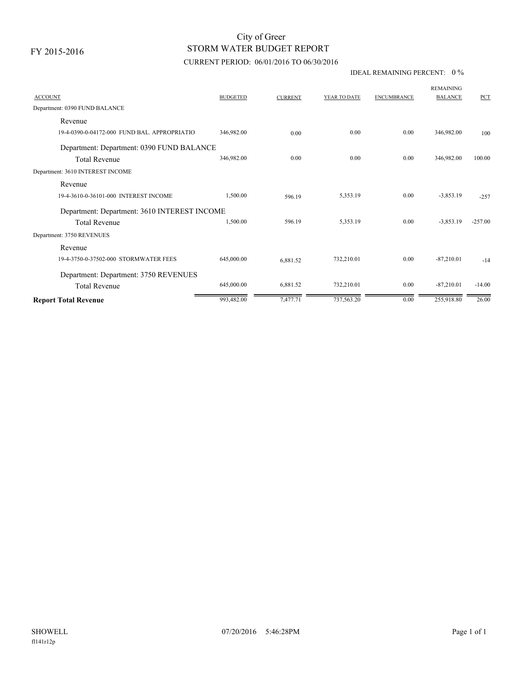FY 2015-2016

## STORM WATER BUDGET REPORT City of Greer

### CURRENT PERIOD: 06/01/2016 TO 06/30/2016

#### IDEAL REMAINING PERCENT: 0 %

| <b>ACCOUNT</b>                               | <b>BUDGETED</b> | <b>CURRENT</b> | YEAR TO DATE | <b>ENCUMBRANCE</b> | <b>REMAINING</b><br><b>BALANCE</b> | <b>PCT</b> |  |  |
|----------------------------------------------|-----------------|----------------|--------------|--------------------|------------------------------------|------------|--|--|
| Department: 0390 FUND BALANCE                |                 |                |              |                    |                                    |            |  |  |
| Revenue                                      |                 |                |              |                    |                                    |            |  |  |
| 19-4-0390-0-04172-000 FUND BAL, APPROPRIATIO | 346,982.00      | 0.00           | 0.00         | 0.00               | 346,982.00                         | 100        |  |  |
| Department: Department: 0390 FUND BALANCE    |                 |                |              |                    |                                    |            |  |  |
| <b>Total Revenue</b>                         | 346,982.00      | 0.00           | 0.00         | 0.00               | 346,982.00                         | 100.00     |  |  |
| Department: 3610 INTEREST INCOME             |                 |                |              |                    |                                    |            |  |  |
| Revenue                                      |                 |                |              |                    |                                    |            |  |  |
| 19-4-3610-0-36101-000 INTEREST INCOME        | 1,500.00        | 596.19         | 5,353.19     | 0.00               | $-3,853.19$                        | $-2.57$    |  |  |
| Department: Department: 3610 INTEREST INCOME |                 |                |              |                    |                                    |            |  |  |
| <b>Total Revenue</b>                         | 1,500.00        | 596.19         | 5,353.19     | 0.00               | $-3,853.19$                        | $-257.00$  |  |  |
| Department: 3750 REVENUES                    |                 |                |              |                    |                                    |            |  |  |
| Revenue                                      |                 |                |              |                    |                                    |            |  |  |
| 19-4-3750-0-37502-000 STORMWATER FEES        | 645,000.00      | 6.881.52       | 732,210.01   | 0.00               | $-87,210.01$                       | $-14$      |  |  |
| Department: Department: 3750 REVENUES        |                 |                |              |                    |                                    |            |  |  |
| <b>Total Revenue</b>                         | 645,000.00      | 6,881.52       | 732,210.01   | 0.00               | $-87,210.01$                       | $-14.00$   |  |  |
| <b>Report Total Revenue</b>                  | 993,482.00      | 7,477.71       | 737,563.20   | 0.00               | 255,918.80                         | 26.00      |  |  |